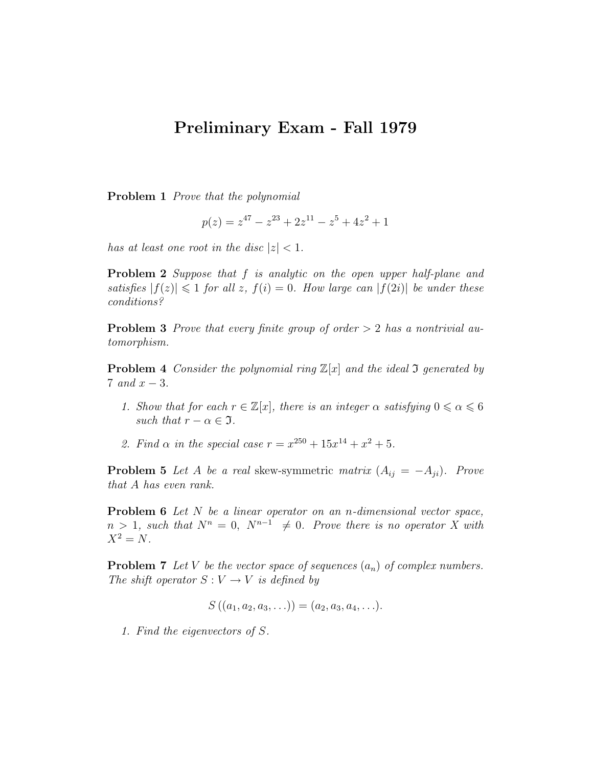## Preliminary Exam - Fall 1979

Problem 1 Prove that the polynomial

$$
p(z) = z^{47} - z^{23} + 2z^{11} - z^5 + 4z^2 + 1
$$

has at least one root in the disc  $|z| < 1$ .

**Problem 2** Suppose that f is analytic on the open upper half-plane and satisfies  $|f(z)| \leq 1$  for all z,  $f(i) = 0$ . How large can  $|f(2i)|$  be under these conditions?

**Problem 3** Prove that every finite group of order  $> 2$  has a nontrivial automorphism.

**Problem 4** Consider the polynomial ring  $\mathbb{Z}[x]$  and the ideal 3 generated by 7 and  $x-3$ .

- 1. Show that for each  $r \in \mathbb{Z}[x]$ , there is an integer  $\alpha$  satisfying  $0 \le \alpha \le 6$ such that  $r - \alpha \in \mathfrak{I}$ .
- 2. Find  $\alpha$  in the special case  $r = x^{250} + 15x^{14} + x^2 + 5$ .

**Problem 5** Let A be a real skew-symmetric matrix  $(A_{ij} = -A_{ji})$ . Prove that A has even rank.

Problem 6 Let N be a linear operator on an n-dimensional vector space,  $n > 1$ , such that  $N^n = 0$ ,  $N^{n-1} \neq 0$ . Prove there is no operator X with  $X^2 = N$ .

**Problem 7** Let V be the vector space of sequences  $(a_n)$  of complex numbers. The shift operator  $S: V \to V$  is defined by

$$
S((a_1,a_2,a_3,\ldots))=(a_2,a_3,a_4,\ldots).
$$

1. Find the eigenvectors of S.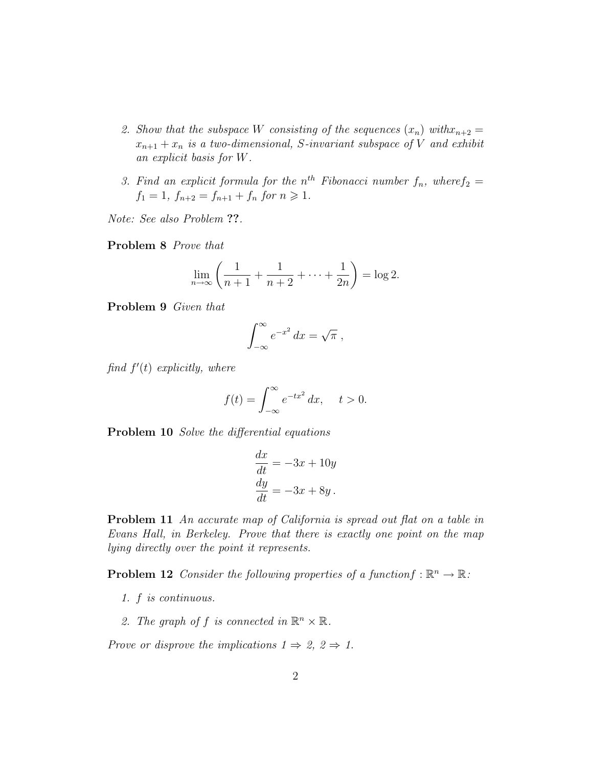- 2. Show that the subspace W consisting of the sequences  $(x_n)$  with  $x_{n+2} =$  $x_{n+1} + x_n$  is a two-dimensional, S-invariant subspace of V and exhibit an explicit basis for W.
- 3. Find an explicit formula for the  $n^{th}$  Fibonacci number  $f_n$ , where  $f_2$  $f_1 = 1, f_{n+2} = f_{n+1} + f_n$  for  $n \ge 1$ .

Note: See also Problem ??.

Problem 8 Prove that

$$
\lim_{n \to \infty} \left( \frac{1}{n+1} + \frac{1}{n+2} + \dots + \frac{1}{2n} \right) = \log 2.
$$

Problem 9 Given that

$$
\int_{-\infty}^{\infty} e^{-x^2} dx = \sqrt{\pi} ,
$$

find  $f'(t)$  explicitly, where

$$
f(t) = \int_{-\infty}^{\infty} e^{-tx^2} dx, \quad t > 0.
$$

Problem 10 Solve the differential equations

$$
\frac{dx}{dt} = -3x + 10y
$$

$$
\frac{dy}{dt} = -3x + 8y.
$$

Problem 11 An accurate map of California is spread out flat on a table in Evans Hall, in Berkeley. Prove that there is exactly one point on the map lying directly over the point it represents.

**Problem 12** Consider the following properties of a functionf :  $\mathbb{R}^n \to \mathbb{R}$ .

- 1. f is continuous.
- 2. The graph of f is connected in  $\mathbb{R}^n \times \mathbb{R}$ .

Prove or disprove the implications  $1 \Rightarrow 2, 2 \Rightarrow 1$ .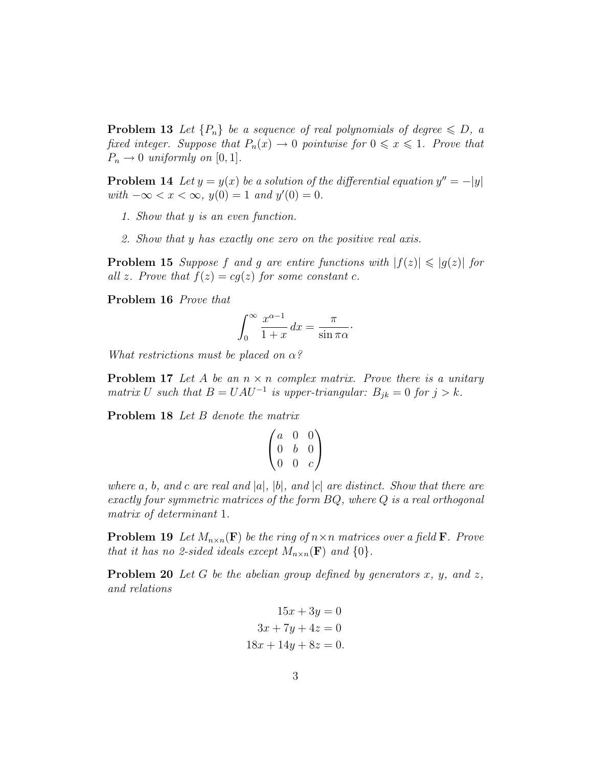**Problem 13** Let  $\{P_n\}$  be a sequence of real polynomials of degree  $\leq D$ , a fixed integer. Suppose that  $P_n(x) \to 0$  pointwise for  $0 \le x \le 1$ . Prove that  $P_n \to 0$  uniformly on [0, 1].

**Problem 14** Let  $y = y(x)$  be a solution of the differential equation  $y'' = -|y|$  $with -∞ < x < ∞, y(0) = 1 and y'(0) = 0.$ 

- 1. Show that y is an even function.
- 2. Show that y has exactly one zero on the positive real axis.

**Problem 15** Suppose f and g are entire functions with  $|f(z)| \leq |g(z)|$  for all z. Prove that  $f(z) = cg(z)$  for some constant c.

Problem 16 Prove that

$$
\int_0^\infty \frac{x^{\alpha - 1}}{1 + x} \, dx = \frac{\pi}{\sin \pi \alpha}.
$$

What restrictions must be placed on  $\alpha$ ?

**Problem 17** Let A be an  $n \times n$  complex matrix. Prove there is a unitary matrix U such that  $B = UAU^{-1}$  is upper-triangular:  $B_{jk} = 0$  for  $j > k$ .

Problem 18 Let B denote the matrix

$$
\begin{pmatrix} a & 0 & 0 \\ 0 & b & 0 \\ 0 & 0 & c \end{pmatrix}
$$

where a, b, and c are real and  $|a|, |b|$ , and  $|c|$  are distinct. Show that there are exactly four symmetric matrices of the form BQ, where Q is a real orthogonal matrix of determinant 1.

**Problem 19** Let  $M_{n\times n}(\mathbf{F})$  be the ring of  $n\times n$  matrices over a field **F**. Prove that it has no 2-sided ideals except  $M_{n\times n}(\mathbf{F})$  and  $\{0\}$ .

**Problem 20** Let G be the abelian group defined by generators  $x$ ,  $y$ , and  $z$ , and relations

$$
15x + 3y = 0
$$

$$
3x + 7y + 4z = 0
$$

$$
18x + 14y + 8z = 0.
$$